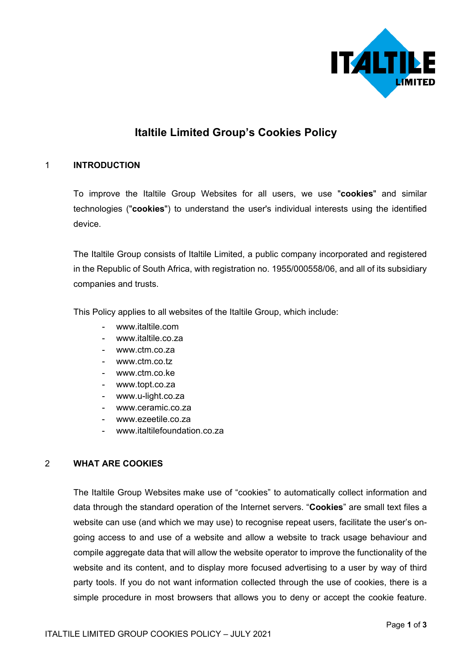

# **Italtile Limited Group's Cookies Policy**

### 1 **INTRODUCTION**

To improve the Italtile Group Websites for all users, we use "**cookies**" and similar technologies ("**cookies**") to understand the user's individual interests using the identified device.

The Italtile Group consists of Italtile Limited, a public company incorporated and registered in the Republic of South Africa, with registration no. 1955/000558/06, and all of its subsidiary companies and trusts.

This Policy applies to all websites of the Italtile Group, which include:

- www.italtile.com
- www.italtile.co.za
- www.ctm.co.za
- www.ctm.co.tz
- www.ctm.co.ke
- www.topt.co.za
- www.u-light.co.za
- www.ceramic.co.za
- www.ezeetile.co.za
- www.italtilefoundation.co.za

#### 2 **WHAT ARE COOKIES**

The Italtile Group Websites make use of "cookies" to automatically collect information and data through the standard operation of the Internet servers. "**Cookies**" are small text files a website can use (and which we may use) to recognise repeat users, facilitate the user's ongoing access to and use of a website and allow a website to track usage behaviour and compile aggregate data that will allow the website operator to improve the functionality of the website and its content, and to display more focused advertising to a user by way of third party tools. If you do not want information collected through the use of cookies, there is a simple procedure in most browsers that allows you to deny or accept the cookie feature.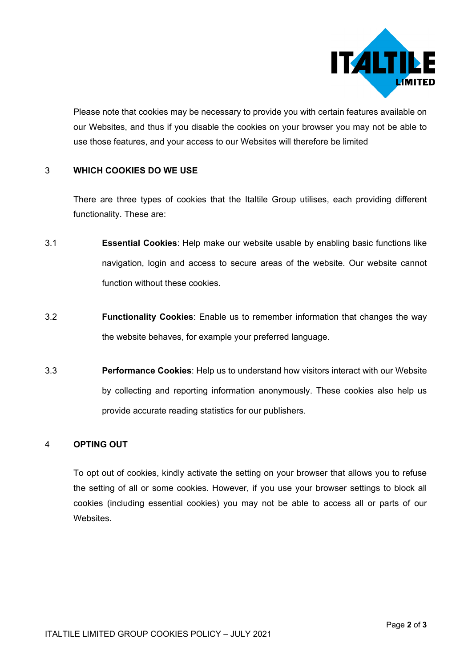

Please note that cookies may be necessary to provide you with certain features available on our Websites, and thus if you disable the cookies on your browser you may not be able to use those features, and your access to our Websites will therefore be limited

#### 3 **WHICH COOKIES DO WE USE**

There are three types of cookies that the Italtile Group utilises, each providing different functionality. These are:

- 3.1 **Essential Cookies**: Help make our website usable by enabling basic functions like navigation, login and access to secure areas of the website. Our website cannot function without these cookies.
- 3.2 **Functionality Cookies**: Enable us to remember information that changes the way the website behaves, for example your preferred language.
- 3.3 **Performance Cookies**: Help us to understand how visitors interact with our Website by collecting and reporting information anonymously. These cookies also help us provide accurate reading statistics for our publishers.

#### 4 **OPTING OUT**

To opt out of cookies, kindly activate the setting on your browser that allows you to refuse the setting of all or some cookies. However, if you use your browser settings to block all cookies (including essential cookies) you may not be able to access all or parts of our Websites.